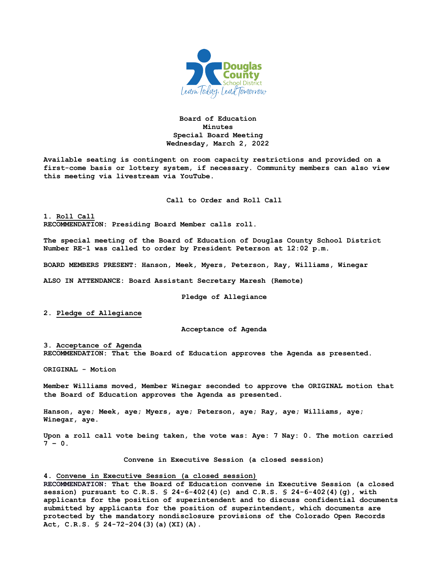

## **Board of Education Minutes Special Board Meeting Wednesday, March 2, 2022**

**Available seating is contingent on room capacity restrictions and provided on a first-come basis or lottery system, if necessary. Community members can also view this meeting via livestream via YouTube.**

**Call to Order and Roll Call**

**1. Roll Call RECOMMENDATION: Presiding Board Member calls roll.**

**The special meeting of the Board of Education of Douglas County School District Number RE-1 was called to order by President Peterson at 12:02 p.m.**

**BOARD MEMBERS PRESENT: Hanson, Meek, Myers, Peterson, Ray, Williams, Winegar**

**ALSO IN ATTENDANCE: Board Assistant Secretary Maresh (Remote)**

**Pledge of Allegiance**

**2. Pledge of Allegiance**

**Acceptance of Agenda**

**3. Acceptance of Agenda RECOMMENDATION: That the Board of Education approves the Agenda as presented.**

**ORIGINAL - Motion** 

**Member Williams moved, Member Winegar seconded to approve the ORIGINAL motion that the Board of Education approves the Agenda as presented.** 

**Hanson, aye; Meek, aye; Myers, aye; Peterson, aye; Ray, aye; Williams, aye; Winegar, aye.**

**Upon a roll call vote being taken, the vote was: Aye: 7 Nay: 0. The motion carried 7 – 0.**

**Convene in Executive Session (a closed session)**

## **4. Convene in Executive Session (a closed session)**

**RECOMMENDATION: That the Board of Education convene in Executive Session (a closed session) pursuant to C.R.S. § 24-6-402(4)(c) and C.R.S. § 24-6-402(4)(g), with applicants for the position of superintendent and to discuss confidential documents submitted by applicants for the position of superintendent, which documents are protected by the mandatory nondisclosure provisions of the Colorado Open Records Act, C.R.S. § 24-72-204(3)(a)(XI)(A).**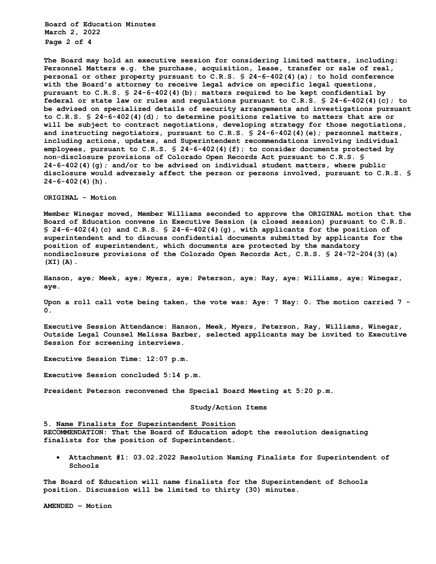**Board of Education Minutes March 2, 2022 Page 2 of 4** 

**The Board may hold an executive session for considering limited matters, including: Personnel Matters e.g. the purchase, acquisition, lease, transfer or sale of real, personal or other property pursuant to C.R.S. § 24-6-402(4)(a); to hold conference with the Board's attorney to receive legal advice on specific legal questions, pursuant to C.R.S. § 24-6-402(4)(b); matters required to be kept confidential by federal or state law or rules and regulations pursuant to C.R.S. § 24-6-402(4)(c); to be advised on specialized details of security arrangements and investigations pursuant to C.R.S. § 24-6-402(4)(d); to determine positions relative to matters that are or will be subject to contract negotiations, developing strategy for those negotiations, and instructing negotiators, pursuant to C.R.S. § 24-6-402(4)(e); personnel matters, including actions, updates, and Superintendent recommendations involving individual employees, pursuant to C.R.S. § 24-6-402(4)(f); to consider documents protected by non-disclosure provisions of Colorado Open Records Act pursuant to C.R.S. § 24-6-402(4)(g); and/or to be advised on individual student matters, where public disclosure would adversely affect the person or persons involved, pursuant to C.R.S. § 24-6-402(4)(h).**

**ORIGINAL - Motion** 

**Member Winegar moved, Member Williams seconded to approve the ORIGINAL motion that the Board of Education convene in Executive Session (a closed session) pursuant to C.R.S. § 24-6-402(4)(c) and C.R.S. § 24-6-402(4)(g), with applicants for the position of superintendent and to discuss confidential documents submitted by applicants for the position of superintendent, which documents are protected by the mandatory nondisclosure provisions of the Colorado Open Records Act, C.R.S. § 24-72-204(3)(a) (XI)(A).**

**Hanson, aye; Meek, aye; Myers, aye; Peterson, aye; Ray, aye; Williams, aye; Winegar, aye.** 

**Upon a roll call vote being taken, the vote was: Aye: 7 Nay: 0. The motion carried 7 - 0.** 

**Executive Session Attendance: Hanson, Meek, Myers, Peterson, Ray, Williams, Winegar, Outside Legal Counsel Melissa Barber, selected applicants may be invited to Executive Session for screening interviews.** 

**Executive Session Time: 12:07 p.m.** 

**Executive Session concluded 5:14 p.m.** 

**President Peterson reconvened the Special Board Meeting at 5:20 p.m.** 

## **Study/Action Items**

**5. Name Finalists for Superintendent Position RECOMMENDATION: That the Board of Education adopt the resolution designating finalists for the position of Superintendent.**

• **Attachment #1: 03.02.2022 Resolution Naming Finalists for Superintendent of Schools**

**The Board of Education will name finalists for the Superintendent of Schools position. Discussion will be limited to thirty (30) minutes.** 

**AMENDED – Motion**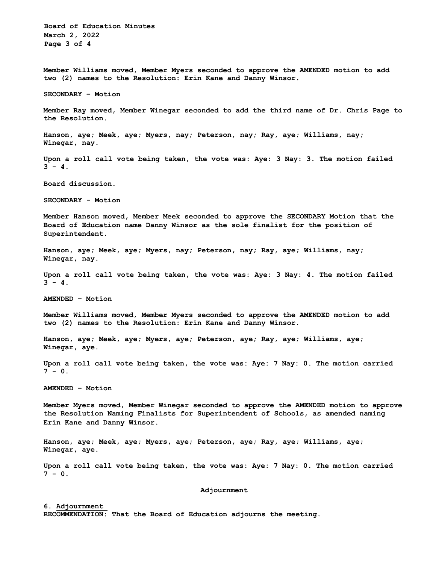**Board of Education Minutes March 2, 2022 Page 3 of 4**

**Member Williams moved, Member Myers seconded to approve the AMENDED motion to add two (2) names to the Resolution: Erin Kane and Danny Winsor.**

**SECONDARY – Motion**

**Member Ray moved, Member Winegar seconded to add the third name of Dr. Chris Page to the Resolution.**

**Hanson, aye; Meek, aye; Myers, nay; Peterson, nay; Ray, aye; Williams, nay; Winegar, nay.**

**Upon a roll call vote being taken, the vote was: Aye: 3 Nay: 3. The motion failed**  $3 - 4$ .

**Board discussion.**

**SECONDARY - Motion** 

**Member Hanson moved, Member Meek seconded to approve the SECONDARY Motion that the Board of Education name Danny Winsor as the sole finalist for the position of Superintendent.** 

**Hanson, aye; Meek, aye; Myers, nay; Peterson, nay; Ray, aye; Williams, nay; Winegar, nay.**

**Upon a roll call vote being taken, the vote was: Aye: 3 Nay: 4. The motion failed**  $3 - 4$ .

**AMENDED – Motion**

**Member Williams moved, Member Myers seconded to approve the AMENDED motion to add two (2) names to the Resolution: Erin Kane and Danny Winsor.**

**Hanson, aye; Meek, aye; Myers, aye; Peterson, aye; Ray, aye; Williams, aye; Winegar, aye.**

**Upon a roll call vote being taken, the vote was: Aye: 7 Nay: 0. The motion carried 7 - 0.**

**AMENDED – Motion**

**Member Myers moved, Member Winegar seconded to approve the AMENDED motion to approve the Resolution Naming Finalists for Superintendent of Schools, as amended naming Erin Kane and Danny Winsor.**

**Hanson, aye; Meek, aye; Myers, aye; Peterson, aye; Ray, aye; Williams, aye; Winegar, aye.**

**Upon a roll call vote being taken, the vote was: Aye: 7 Nay: 0. The motion carried 7 - 0.**

**Adjournment**

**6. Adjournment RECOMMENDATION: That the Board of Education adjourns the meeting.**